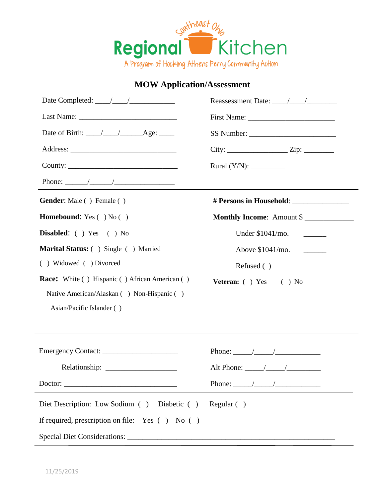

## **MOW Application/Assessment**

| Date Completed: $\frac{\sqrt{1-\frac{1}{2}}}{\sqrt{1-\frac{1}{2}}}}$ |                                                                                                                                                                                                                                                                                                                                                                                                                          |
|----------------------------------------------------------------------|--------------------------------------------------------------------------------------------------------------------------------------------------------------------------------------------------------------------------------------------------------------------------------------------------------------------------------------------------------------------------------------------------------------------------|
|                                                                      |                                                                                                                                                                                                                                                                                                                                                                                                                          |
|                                                                      |                                                                                                                                                                                                                                                                                                                                                                                                                          |
|                                                                      | $City:$ $Zip:$ $Zip:$                                                                                                                                                                                                                                                                                                                                                                                                    |
|                                                                      |                                                                                                                                                                                                                                                                                                                                                                                                                          |
|                                                                      | <u> 1989 - Johann Stein, fransk politik (d. 1989)</u>                                                                                                                                                                                                                                                                                                                                                                    |
| <b>Gender:</b> Male () Female ()                                     |                                                                                                                                                                                                                                                                                                                                                                                                                          |
| <b>Homebound:</b> Yes $( )$ No $( )$                                 | Monthly Income: Amount \$                                                                                                                                                                                                                                                                                                                                                                                                |
| Disabled: ( ) Yes ( ) No                                             | Under \$1041/mo. _______                                                                                                                                                                                                                                                                                                                                                                                                 |
| Marital Status: () Single () Married                                 |                                                                                                                                                                                                                                                                                                                                                                                                                          |
| () Widowed () Divorced                                               | Refused ()                                                                                                                                                                                                                                                                                                                                                                                                               |
| <b>Race:</b> White () Hispanic () African American ()                | Veteran: ( ) Yes ( ) No                                                                                                                                                                                                                                                                                                                                                                                                  |
| Native American/Alaskan () Non-Hispanic ()                           |                                                                                                                                                                                                                                                                                                                                                                                                                          |
| Asian/Pacific Islander ()                                            |                                                                                                                                                                                                                                                                                                                                                                                                                          |
|                                                                      |                                                                                                                                                                                                                                                                                                                                                                                                                          |
|                                                                      | Phone: $\frac{1}{\sqrt{1-\frac{1}{2}}}\frac{1}{\sqrt{1-\frac{1}{2}}}\frac{1}{\sqrt{1-\frac{1}{2}}}\frac{1}{\sqrt{1-\frac{1}{2}}}\frac{1}{\sqrt{1-\frac{1}{2}}}\frac{1}{\sqrt{1-\frac{1}{2}}}\frac{1}{\sqrt{1-\frac{1}{2}}}\frac{1}{\sqrt{1-\frac{1}{2}}}\frac{1}{\sqrt{1-\frac{1}{2}}}\frac{1}{\sqrt{1-\frac{1}{2}}}\frac{1}{\sqrt{1-\frac{1}{2}}}\frac{1}{\sqrt{1-\frac{1}{2}}}\frac{1}{\sqrt{1-\frac{1}{2}}}\frac{1}{$ |
|                                                                      |                                                                                                                                                                                                                                                                                                                                                                                                                          |
|                                                                      |                                                                                                                                                                                                                                                                                                                                                                                                                          |
|                                                                      |                                                                                                                                                                                                                                                                                                                                                                                                                          |
| Diet Description: Low Sodium () Diabetic ()                          | Regular( )                                                                                                                                                                                                                                                                                                                                                                                                               |
| If required, prescription on file: Yes () No ()                      |                                                                                                                                                                                                                                                                                                                                                                                                                          |
|                                                                      |                                                                                                                                                                                                                                                                                                                                                                                                                          |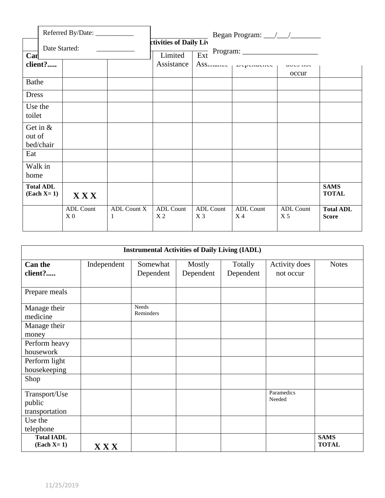|                                           | Referred By/Date:                                             |                  | Began Program: ///                                  |                                    |                                    |                                    |                                  |
|-------------------------------------------|---------------------------------------------------------------|------------------|-----------------------------------------------------|------------------------------------|------------------------------------|------------------------------------|----------------------------------|
|                                           | Date Started:<br><u> 1980 - Jan Alexandro III, politik po</u> |                  | ctivities of Daily Liv<br>$\overline{Ext}$ Program: |                                    |                                    |                                    |                                  |
| Can                                       |                                                               |                  | Limited                                             |                                    |                                    |                                    |                                  |
| client?                                   |                                                               |                  | Assistance                                          |                                    | Assionance propondence processive  |                                    |                                  |
|                                           |                                                               |                  |                                                     |                                    |                                    | occur                              |                                  |
| Bathe                                     |                                                               |                  |                                                     |                                    |                                    |                                    |                                  |
| <b>Dress</b>                              |                                                               |                  |                                                     |                                    |                                    |                                    |                                  |
| Use the<br>toilet                         |                                                               |                  |                                                     |                                    |                                    |                                    |                                  |
| Get in $&$<br>out of<br>bed/chair         |                                                               |                  |                                                     |                                    |                                    |                                    |                                  |
| Eat                                       |                                                               |                  |                                                     |                                    |                                    |                                    |                                  |
| Walk in<br>home                           |                                                               |                  |                                                     |                                    |                                    |                                    |                                  |
| <b>Total ADL</b><br>$\textbf{(Each X=1)}$ | <b>XXX</b>                                                    |                  |                                                     |                                    |                                    |                                    | <b>SAMS</b><br><b>TOTAL</b>      |
|                                           | <b>ADL Count</b><br>X <sub>0</sub>                            | ADL Count X<br>1 | ADL Count<br>X <sub>2</sub>                         | <b>ADL Count</b><br>X <sub>3</sub> | <b>ADL Count</b><br>X <sub>4</sub> | <b>ADL Count</b><br>X <sub>5</sub> | <b>Total ADL</b><br><b>Score</b> |

| <b>Instrumental Activities of Daily Living (IADL)</b> |             |                           |                     |                      |                            |                             |
|-------------------------------------------------------|-------------|---------------------------|---------------------|----------------------|----------------------------|-----------------------------|
| <b>Can the</b><br>client?                             | Independent | Somewhat<br>Dependent     | Mostly<br>Dependent | Totally<br>Dependent | Activity does<br>not occur | <b>Notes</b>                |
| Prepare meals                                         |             |                           |                     |                      |                            |                             |
| Manage their<br>medicine                              |             | <b>Needs</b><br>Reminders |                     |                      |                            |                             |
| Manage their<br>money                                 |             |                           |                     |                      |                            |                             |
| Perform heavy<br>housework                            |             |                           |                     |                      |                            |                             |
| Perform light<br>housekeeping                         |             |                           |                     |                      |                            |                             |
| Shop                                                  |             |                           |                     |                      |                            |                             |
| Transport/Use<br>public<br>transportation             |             |                           |                     |                      | Paramedics<br>Needed       |                             |
| Use the<br>telephone                                  |             |                           |                     |                      |                            |                             |
| <b>Total IADL</b><br>$\textbf{(Each X=1)}$            | $X$ $X$ $X$ |                           |                     |                      |                            | <b>SAMS</b><br><b>TOTAL</b> |